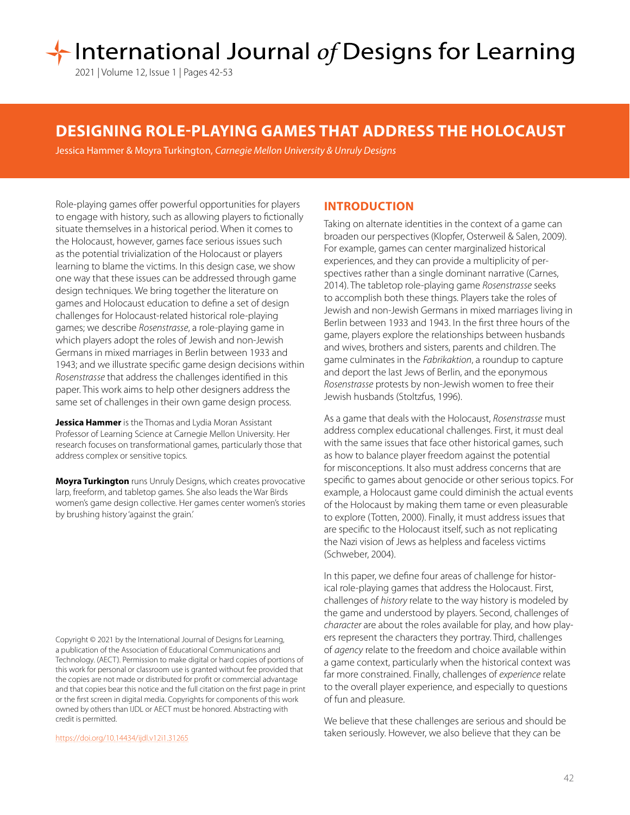# International Journal of Designs for Learning

2021 | Volume 12, Issue 1 | Pages 42-53

# **DESIGNING ROLE-PLAYING GAMES THAT ADDRESS THE HOLOCAUST**

Jessica Hammer & Moyra Turkington, *Carnegie Mellon University & Unruly Designs*

Role-playing games offer powerful opportunities for players to engage with history, such as allowing players to fictionally situate themselves in a historical period. When it comes to the Holocaust, however, games face serious issues such as the potential trivialization of the Holocaust or players learning to blame the victims. In this design case, we show one way that these issues can be addressed through game design techniques. We bring together the literature on games and Holocaust education to define a set of design challenges for Holocaust-related historical role-playing games; we describe *Rosenstrasse*, a role-playing game in which players adopt the roles of Jewish and non-Jewish Germans in mixed marriages in Berlin between 1933 and 1943; and we illustrate specific game design decisions within *Rosenstrasse* that address the challenges identified in this paper. This work aims to help other designers address the same set of challenges in their own game design process.

**Jessica Hammer** is the Thomas and Lydia Moran Assistant Professor of Learning Science at Carnegie Mellon University. Her research focuses on transformational games, particularly those that address complex or sensitive topics.

**Moyra Turkington** runs Unruly Designs, which creates provocative larp, freeform, and tabletop games. She also leads the War Birds women's game design collective. Her games center women's stories by brushing history 'against the grain.'

Copyright © 2021 by the International Journal of Designs for Learning, a publication of the Association of Educational Communications and Technology. (AECT). Permission to make digital or hard copies of portions of this work for personal or classroom use is granted without fee provided that the copies are not made or distributed for profit or commercial advantage and that copies bear this notice and the full citation on the first page in print or the first screen in digital media. Copyrights for components of this work owned by others than IJDL or AECT must be honored. Abstracting with credit is permitted.

[https://doi.org/](https://doi.org/10.14434/ijdl.v12i1.31265)10.14434/ijdl.v12i1.31265

#### **INTRODUCTION**

Taking on alternate identities in the context of a game can broaden our perspectives (Klopfer, Osterweil & Salen, 2009). For example, games can center marginalized historical experiences, and they can provide a multiplicity of perspectives rather than a single dominant narrative (Carnes, 2014). The tabletop role-playing game *Rosenstrasse* seeks to accomplish both these things. Players take the roles of Jewish and non-Jewish Germans in mixed marriages living in Berlin between 1933 and 1943. In the first three hours of the game, players explore the relationships between husbands and wives, brothers and sisters, parents and children. The game culminates in the *Fabrikaktion*, a roundup to capture and deport the last Jews of Berlin, and the eponymous *Rosenstrasse* protests by non-Jewish women to free their Jewish husbands (Stoltzfus, 1996).

As a game that deals with the Holocaust, *Rosenstrasse* must address complex educational challenges. First, it must deal with the same issues that face other historical games, such as how to balance player freedom against the potential for misconceptions. It also must address concerns that are specific to games about genocide or other serious topics. For example, a Holocaust game could diminish the actual events of the Holocaust by making them tame or even pleasurable to explore (Totten, 2000). Finally, it must address issues that are specific to the Holocaust itself, such as not replicating the Nazi vision of Jews as helpless and faceless victims (Schweber, 2004).

In this paper, we define four areas of challenge for historical role-playing games that address the Holocaust. First, challenges of *history* relate to the way history is modeled by the game and understood by players. Second, challenges of *character* are about the roles available for play, and how players represent the characters they portray. Third, challenges of *agency* relate to the freedom and choice available within a game context, particularly when the historical context was far more constrained. Finally, challenges of *experience* relate to the overall player experience, and especially to questions of fun and pleasure.

We believe that these challenges are serious and should be taken seriously. However, we also believe that they can be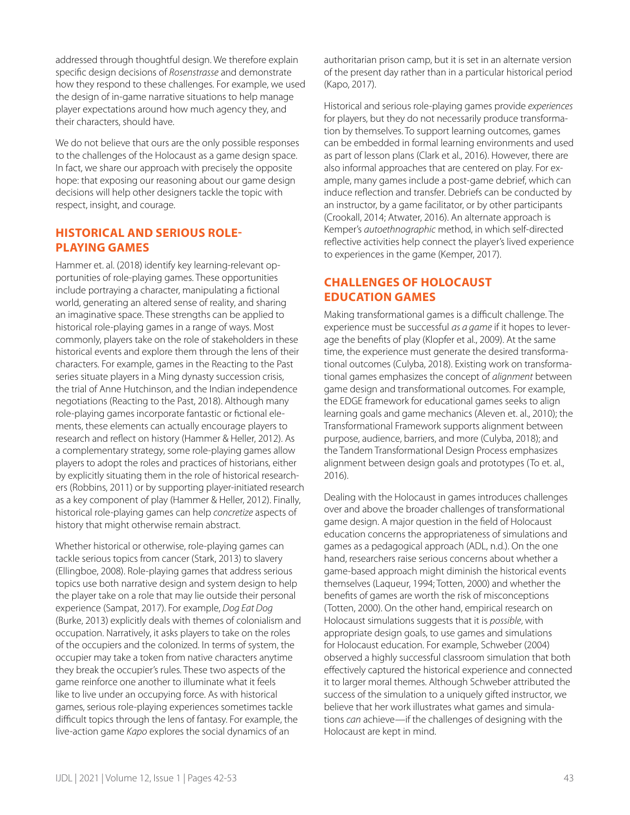addressed through thoughtful design. We therefore explain specific design decisions of *Rosenstrasse* and demonstrate how they respond to these challenges. For example, we used the design of in-game narrative situations to help manage player expectations around how much agency they, and their characters, should have.

We do not believe that ours are the only possible responses to the challenges of the Holocaust as a game design space. In fact, we share our approach with precisely the opposite hope: that exposing our reasoning about our game design decisions will help other designers tackle the topic with respect, insight, and courage.

# **HISTORICAL AND SERIOUS ROLE-PLAYING GAMES**

Hammer et. al. (2018) identify key learning-relevant opportunities of role-playing games. These opportunities include portraying a character, manipulating a fictional world, generating an altered sense of reality, and sharing an imaginative space. These strengths can be applied to historical role-playing games in a range of ways. Most commonly, players take on the role of stakeholders in these historical events and explore them through the lens of their characters. For example, games in the Reacting to the Past series situate players in a Ming dynasty succession crisis, the trial of Anne Hutchinson, and the Indian independence negotiations (Reacting to the Past, 2018). Although many role-playing games incorporate fantastic or fictional elements, these elements can actually encourage players to research and reflect on history (Hammer & Heller, 2012). As a complementary strategy, some role-playing games allow players to adopt the roles and practices of historians, either by explicitly situating them in the role of historical researchers (Robbins, 2011) or by supporting player-initiated research as a key component of play (Hammer & Heller, 2012). Finally, historical role-playing games can help *concretize* aspects of history that might otherwise remain abstract.

Whether historical or otherwise, role-playing games can tackle serious topics from cancer (Stark, 2013) to slavery (Ellingboe, 2008). Role-playing games that address serious topics use both narrative design and system design to help the player take on a role that may lie outside their personal experience (Sampat, 2017). For example, *Dog Eat Dog*  (Burke, 2013) explicitly deals with themes of colonialism and occupation. Narratively, it asks players to take on the roles of the occupiers and the colonized. In terms of system, the occupier may take a token from native characters anytime they break the occupier's rules. These two aspects of the game reinforce one another to illuminate what it feels like to live under an occupying force. As with historical games, serious role-playing experiences sometimes tackle difficult topics through the lens of fantasy. For example, the live-action game *Kapo* explores the social dynamics of an

authoritarian prison camp, but it is set in an alternate version of the present day rather than in a particular historical period (Kapo, 2017).

Historical and serious role-playing games provide *experiences* for players, but they do not necessarily produce transformation by themselves. To support learning outcomes, games can be embedded in formal learning environments and used as part of lesson plans (Clark et al., 2016). However, there are also informal approaches that are centered on play. For example, many games include a post-game debrief, which can induce reflection and transfer. Debriefs can be conducted by an instructor, by a game facilitator, or by other participants (Crookall, 2014; Atwater, 2016). An alternate approach is Kemper's *autoethnographic* method, in which self-directed reflective activities help connect the player's lived experience to experiences in the game (Kemper, 2017).

# **CHALLENGES OF HOLOCAUST EDUCATION GAMES**

Making transformational games is a difficult challenge. The experience must be successful *as a game* if it hopes to leverage the benefits of play (Klopfer et al., 2009). At the same time, the experience must generate the desired transformational outcomes (Culyba, 2018). Existing work on transformational games emphasizes the concept of *alignment* between game design and transformational outcomes. For example, the EDGE framework for educational games seeks to align learning goals and game mechanics (Aleven et. al., 2010); the Transformational Framework supports alignment between purpose, audience, barriers, and more (Culyba, 2018); and the Tandem Transformational Design Process emphasizes alignment between design goals and prototypes (To et. al., 2016).

Dealing with the Holocaust in games introduces challenges over and above the broader challenges of transformational game design. A major question in the field of Holocaust education concerns the appropriateness of simulations and games as a pedagogical approach (ADL, n.d.). On the one hand, researchers raise serious concerns about whether a game-based approach might diminish the historical events themselves (Laqueur, 1994; Totten, 2000) and whether the benefits of games are worth the risk of misconceptions (Totten, 2000). On the other hand, empirical research on Holocaust simulations suggests that it is *possible*, with appropriate design goals, to use games and simulations for Holocaust education. For example, Schweber (2004) observed a highly successful classroom simulation that both effectively captured the historical experience and connected it to larger moral themes. Although Schweber attributed the success of the simulation to a uniquely gifted instructor, we believe that her work illustrates what games and simulations *can* achieve—if the challenges of designing with the Holocaust are kept in mind.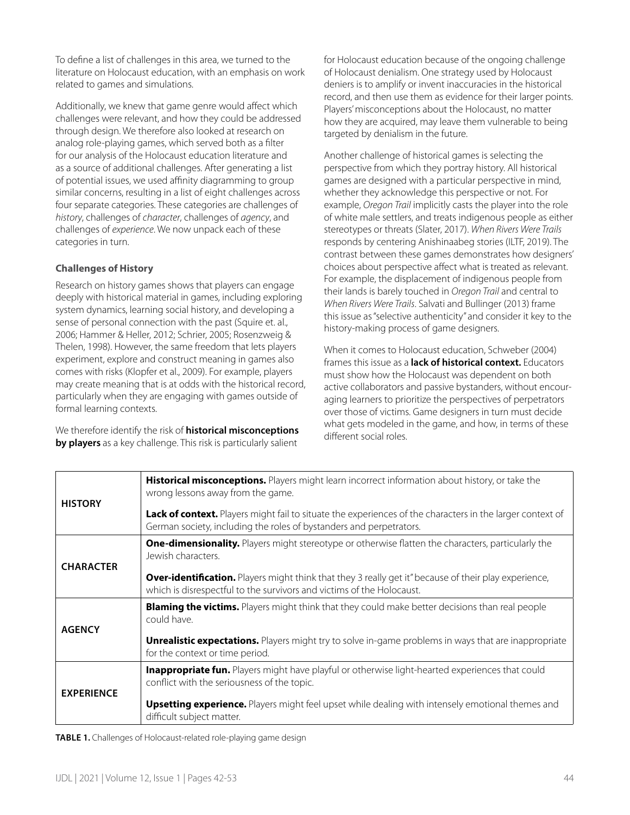To define a list of challenges in this area, we turned to the literature on Holocaust education, with an emphasis on work related to games and simulations.

Additionally, we knew that game genre would affect which challenges were relevant, and how they could be addressed through design. We therefore also looked at research on analog role-playing games, which served both as a filter for our analysis of the Holocaust education literature and as a source of additional challenges. After generating a list of potential issues, we used affinity diagramming to group similar concerns, resulting in a list of eight challenges across four separate categories. These categories are challenges of *history*, challenges of *character*, challenges of *agency*, and challenges of *experience*. We now unpack each of these categories in turn.

# **Challenges of History**

Research on history games shows that players can engage deeply with historical material in games, including exploring system dynamics, learning social history, and developing a sense of personal connection with the past (Squire et. al., 2006; Hammer & Heller, 2012; Schrier, 2005; Rosenzweig & Thelen, 1998). However, the same freedom that lets players experiment, explore and construct meaning in games also comes with risks (Klopfer et al., 2009). For example, players may create meaning that is at odds with the historical record, particularly when they are engaging with games outside of formal learning contexts.

We therefore identify the risk of **historical misconceptions by players** as a key challenge. This risk is particularly salient

for Holocaust education because of the ongoing challenge of Holocaust denialism. One strategy used by Holocaust deniers is to amplify or invent inaccuracies in the historical record, and then use them as evidence for their larger points. Players' misconceptions about the Holocaust, no matter how they are acquired, may leave them vulnerable to being targeted by denialism in the future.

Another challenge of historical games is selecting the perspective from which they portray history. All historical games are designed with a particular perspective in mind, whether they acknowledge this perspective or not. For example, *Oregon Trail* implicitly casts the player into the role of white male settlers, and treats indigenous people as either stereotypes or threats (Slater, 2017). *When Rivers Were Trails* responds by centering Anishinaabeg stories (ILTF, 2019). The contrast between these games demonstrates how designers' choices about perspective affect what is treated as relevant. For example, the displacement of indigenous people from their lands is barely touched in *Oregon Trail* and central to *When Rivers Were Trails*. Salvati and Bullinger (2013) frame this issue as "selective authenticity" and consider it key to the history-making process of game designers.

When it comes to Holocaust education, Schweber (2004) frames this issue as a **lack of historical context.** Educators must show how the Holocaust was dependent on both active collaborators and passive bystanders, without encouraging learners to prioritize the perspectives of perpetrators over those of victims. Game designers in turn must decide what gets modeled in the game, and how, in terms of these different social roles.

| <b>HISTORY</b>    | Historical misconceptions. Players might learn incorrect information about history, or take the<br>wrong lessons away from the game.<br>Lack of context. Players might fail to situate the experiences of the characters in the larger context of<br>German society, including the roles of bystanders and perpetrators. |
|-------------------|--------------------------------------------------------------------------------------------------------------------------------------------------------------------------------------------------------------------------------------------------------------------------------------------------------------------------|
| <b>CHARACTER</b>  | <b>One-dimensionality.</b> Players might stereotype or otherwise flatten the characters, particularly the<br>Jewish characters.<br>Over-identification. Players might think that they 3 really get it" because of their play experience,<br>which is disrespectful to the survivors and victims of the Holocaust.        |
| <b>AGENCY</b>     | <b>Blaming the victims.</b> Players might think that they could make better decisions than real people<br>could have.<br><b>Unrealistic expectations.</b> Players might try to solve in-game problems in ways that are inappropriate<br>for the context or time period.                                                  |
| <b>EXPERIENCE</b> | Inappropriate fun. Players might have playful or otherwise light-hearted experiences that could<br>conflict with the seriousness of the topic.<br><b>Upsetting experience.</b> Players might feel upset while dealing with intensely emotional themes and<br>difficult subject matter.                                   |

**TABLE 1.** Challenges of Holocaust-related role-playing game design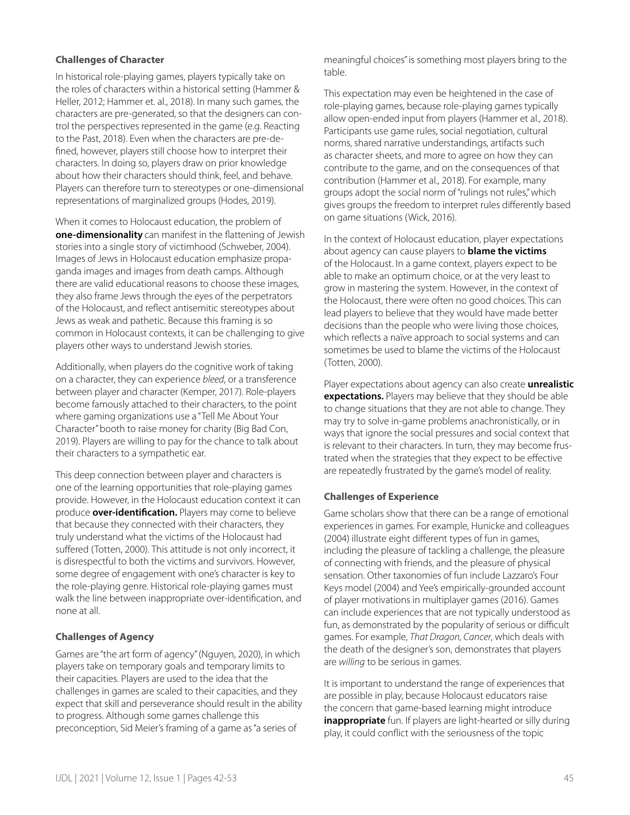#### **Challenges of Character**

In historical role-playing games, players typically take on the roles of characters within a historical setting (Hammer & Heller, 2012; Hammer et. al., 2018). In many such games, the characters are pre-generated, so that the designers can control the perspectives represented in the game (e.g. Reacting to the Past, 2018). Even when the characters are pre-defined, however, players still choose how to interpret their characters. In doing so, players draw on prior knowledge about how their characters should think, feel, and behave. Players can therefore turn to stereotypes or one-dimensional representations of marginalized groups (Hodes, 2019).

When it comes to Holocaust education, the problem of **one-dimensionality** can manifest in the flattening of Jewish stories into a single story of victimhood (Schweber, 2004). Images of Jews in Holocaust education emphasize propaganda images and images from death camps. Although there are valid educational reasons to choose these images, they also frame Jews through the eyes of the perpetrators of the Holocaust, and reflect antisemitic stereotypes about Jews as weak and pathetic. Because this framing is so common in Holocaust contexts, it can be challenging to give players other ways to understand Jewish stories.

Additionally, when players do the cognitive work of taking on a character, they can experience *bleed*, or a transference between player and character (Kemper, 2017). Role-players become famously attached to their characters, to the point where gaming organizations use a "Tell Me About Your Character" booth to raise money for charity (Big Bad Con, 2019). Players are willing to pay for the chance to talk about their characters to a sympathetic ear.

This deep connection between player and characters is one of the learning opportunities that role-playing games provide. However, in the Holocaust education context it can produce **over-identification.** Players may come to believe that because they connected with their characters, they truly understand what the victims of the Holocaust had suffered (Totten, 2000). This attitude is not only incorrect, it is disrespectful to both the victims and survivors. However, some degree of engagement with one's character is key to the role-playing genre. Historical role-playing games must walk the line between inappropriate over-identification, and none at all.

#### **Challenges of Agency**

Games are "the art form of agency" (Nguyen, 2020), in which players take on temporary goals and temporary limits to their capacities. Players are used to the idea that the challenges in games are scaled to their capacities, and they expect that skill and perseverance should result in the ability to progress. Although some games challenge this preconception, Sid Meier's framing of a game as "a series of

meaningful choices" is something most players bring to the table.

This expectation may even be heightened in the case of role-playing games, because role-playing games typically allow open-ended input from players (Hammer et al., 2018). Participants use game rules, social negotiation, cultural norms, shared narrative understandings, artifacts such as character sheets, and more to agree on how they can contribute to the game, and on the consequences of that contribution (Hammer et al., 2018). For example, many groups adopt the social norm of "rulings not rules," which gives groups the freedom to interpret rules differently based on game situations (Wick, 2016).

In the context of Holocaust education, player expectations about agency can cause players to **blame the victims** of the Holocaust. In a game context, players expect to be able to make an optimum choice, or at the very least to grow in mastering the system. However, in the context of the Holocaust, there were often no good choices. This can lead players to believe that they would have made better decisions than the people who were living those choices, which reflects a naïve approach to social systems and can sometimes be used to blame the victims of the Holocaust (Totten, 2000).

Player expectations about agency can also create **unrealistic expectations.** Players may believe that they should be able to change situations that they are not able to change. They may try to solve in-game problems anachronistically, or in ways that ignore the social pressures and social context that is relevant to their characters. In turn, they may become frustrated when the strategies that they expect to be effective are repeatedly frustrated by the game's model of reality.

#### **Challenges of Experience**

Game scholars show that there can be a range of emotional experiences in games. For example, Hunicke and colleagues (2004) illustrate eight different types of fun in games, including the pleasure of tackling a challenge, the pleasure of connecting with friends, and the pleasure of physical sensation. Other taxonomies of fun include Lazzaro's Four Keys model (2004) and Yee's empirically-grounded account of player motivations in multiplayer games (2016). Games can include experiences that are not typically understood as fun, as demonstrated by the popularity of serious or difficult games. For example, *That Dragon, Cancer*, which deals with the death of the designer's son, demonstrates that players are *willing* to be serious in games.

It is important to understand the range of experiences that are possible in play, because Holocaust educators raise the concern that game-based learning might introduce **inappropriate** fun. If players are light-hearted or silly during play, it could conflict with the seriousness of the topic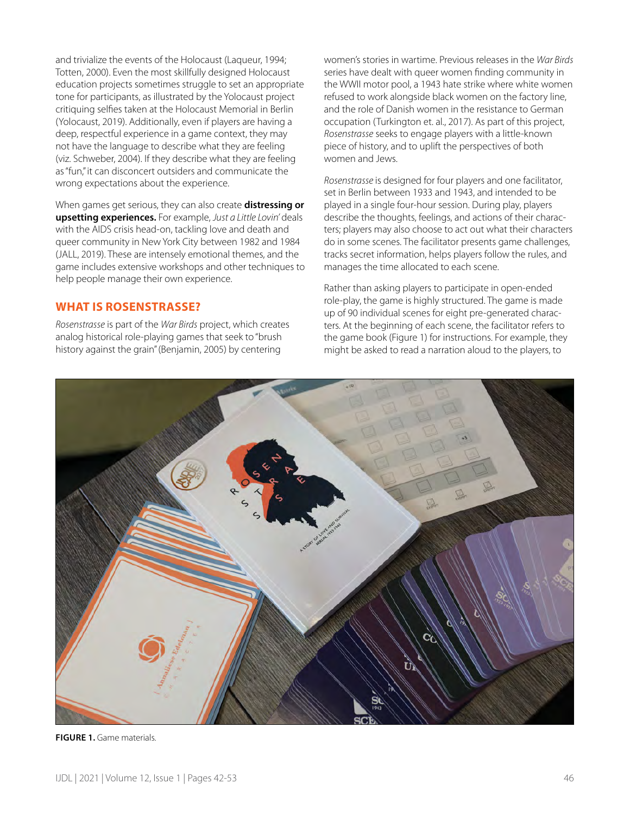and trivialize the events of the Holocaust (Laqueur, 1994; Totten, 2000). Even the most skillfully designed Holocaust education projects sometimes struggle to set an appropriate tone for participants, as illustrated by the Yolocaust project critiquing selfies taken at the Holocaust Memorial in Berlin (Yolocaust, 2019). Additionally, even if players are having a deep, respectful experience in a game context, they may not have the language to describe what they are feeling (viz. Schweber, 2004). If they describe what they are feeling as "fun," it can disconcert outsiders and communicate the wrong expectations about the experience.

When games get serious, they can also create **distressing or upsetting experiences.** For example, *Just a Little Lovin'* deals with the AIDS crisis head-on, tackling love and death and queer community in New York City between 1982 and 1984 (JALL, 2019). These are intensely emotional themes, and the game includes extensive workshops and other techniques to help people manage their own experience.

# **WHAT IS ROSENSTRASSE?**

*Rosenstrasse* is part of the *War Birds* project, which creates analog historical role-playing games that seek to "brush history against the grain" (Benjamin, 2005) by centering

women's stories in wartime. Previous releases in the *War Birds* series have dealt with queer women finding community in the WWII motor pool, a 1943 hate strike where white women refused to work alongside black women on the factory line, and the role of Danish women in the resistance to German occupation (Turkington et. al., 2017). As part of this project, *Rosenstrasse* seeks to engage players with a little-known piece of history, and to uplift the perspectives of both women and Jews.

*Rosenstrasse* is designed for four players and one facilitator, set in Berlin between 1933 and 1943, and intended to be played in a single four-hour session. During play, players describe the thoughts, feelings, and actions of their characters; players may also choose to act out what their characters do in some scenes. The facilitator presents game challenges, tracks secret information, helps players follow the rules, and manages the time allocated to each scene.

Rather than asking players to participate in open-ended role-play, the game is highly structured. The game is made up of 90 individual scenes for eight pre-generated characters. At the beginning of each scene, the facilitator refers to the game book (Figure 1) for instructions. For example, they might be asked to read a narration aloud to the players, to



**FIGURE 1.** Game materials.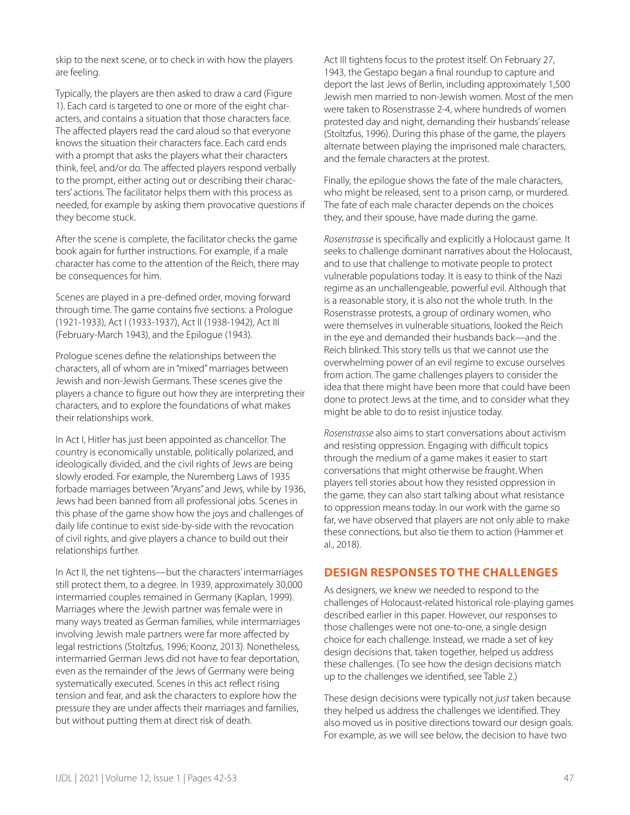skip to the next scene, or to check in with how the players are feeling.

Typically, the players are then asked to draw a card (Figure 1). Each card is targeted to one or more of the eight characters, and contains a situation that those characters face. The affected players read the card aloud so that everyone knows the situation their characters face. Each card ends with a prompt that asks the players what their characters think, feel, and/or do. The affected players respond verbally to the prompt, either acting out or describing their characters' actions. The facilitator helps them with this process as needed, for example by asking them provocative questions if they become stuck.

After the scene is complete, the facilitator checks the game book again for further instructions. For example, if a male character has come to the attention of the Reich, there may be consequences for him.

Scenes are played in a pre-defined order, moving forward through time. The game contains five sections: a Prologue (1921-1933), Act I (1933-1937), Act II (1938-1942), Act III (February-March 1943), and the Epilogue (1943).

Prologue scenes define the relationships between the characters, all of whom are in "mixed" marriages between Jewish and non-Jewish Germans. These scenes give the players a chance to figure out how they are interpreting their characters, and to explore the foundations of what makes their relationships work.

In Act I, Hitler has just been appointed as chancellor. The country is economically unstable, politically polarized, and ideologically divided, and the civil rights of Jews are being slowly eroded. For example, the Nuremberg Laws of 1935 forbade marriages between "Aryans" and Jews, while by 1936, Jews had been banned from all professional jobs. Scenes in this phase of the game show how the joys and challenges of daily life continue to exist side-by-side with the revocation of civil rights, and give players a chance to build out their relationships further.

In Act II, the net tightens—but the characters' intermarriages still protect them, to a degree. In 1939, approximately 30,000 intermarried couples remained in Germany (Kaplan, 1999). Marriages where the Jewish partner was female were in many ways treated as German families, while intermarriages involving Jewish male partners were far more affected by legal restrictions (Stoltzfus, 1996; Koonz, 2013). Nonetheless, intermarried German Jews did not have to fear deportation, even as the remainder of the Jews of Germany were being systematically executed. Scenes in this act reflect rising tension and fear, and ask the characters to explore how the pressure they are under affects their marriages and families, but without putting them at direct risk of death.

Act III tightens focus to the protest itself. On February 27, 1943, the Gestapo began a final roundup to capture and deport the last Jews of Berlin, including approximately 1,500 Jewish men married to non-Jewish women. Most of the men were taken to Rosenstrasse 2-4, where hundreds of women protested day and night, demanding their husbands' release (Stoltzfus, 1996). During this phase of the game, the players alternate between playing the imprisoned male characters, and the female characters at the protest.

Finally, the epilogue shows the fate of the male characters, who might be released, sent to a prison camp, or murdered. The fate of each male character depends on the choices they, and their spouse, have made during the game.

*Rosenstrasse* is specifically and explicitly a Holocaust game. It seeks to challenge dominant narratives about the Holocaust, and to use that challenge to motivate people to protect vulnerable populations today. It is easy to think of the Nazi regime as an unchallengeable, powerful evil. Although that is a reasonable story, it is also not the whole truth. In the Rosenstrasse protests, a group of ordinary women, who were themselves in vulnerable situations, looked the Reich in the eye and demanded their husbands back—and the Reich blinked. This story tells us that we cannot use the overwhelming power of an evil regime to excuse ourselves from action. The game challenges players to consider the idea that there might have been more that could have been done to protect Jews at the time, and to consider what they might be able to do to resist injustice today.

*Rosenstrasse* also aims to start conversations about activism and resisting oppression. Engaging with difficult topics through the medium of a game makes it easier to start conversations that might otherwise be fraught. When players tell stories about how they resisted oppression in the game, they can also start talking about what resistance to oppression means today. In our work with the game so far, we have observed that players are not only able to make these connections, but also tie them to action (Hammer et al., 2018).

# **DESIGN RESPONSES TO THE CHALLENGES**

As designers, we knew we needed to respond to the challenges of Holocaust-related historical role-playing games described earlier in this paper. However, our responses to those challenges were not one-to-one, a single design choice for each challenge. Instead, we made a set of key design decisions that, taken together, helped us address these challenges. (To see how the design decisions match up to the challenges we identified, see Table 2.)

These design decisions were typically not *just* taken because they helped us address the challenges we identified. They also moved us in positive directions toward our design goals. For example, as we will see below, the decision to have two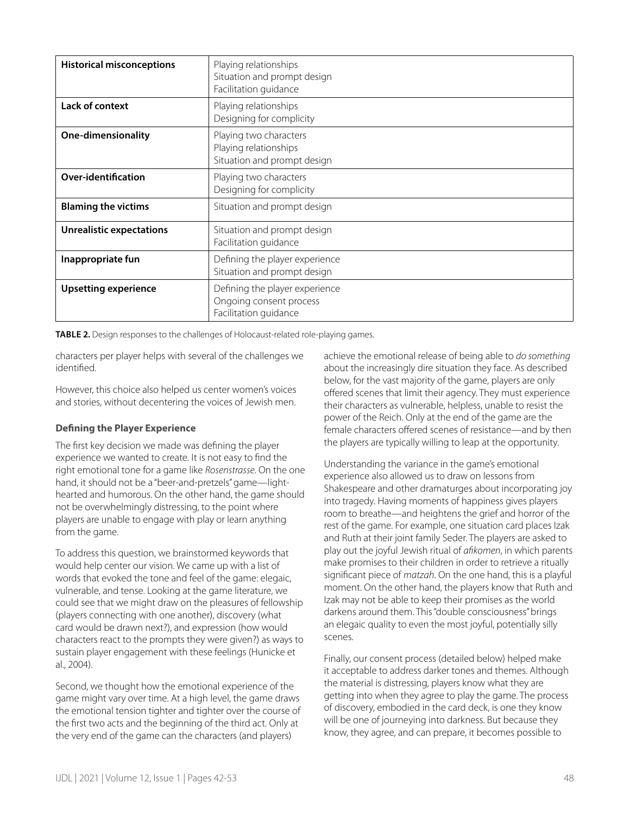| <b>Historical misconceptions</b> | Playing relationships<br>Situation and prompt design<br>Facilitation guidance      |
|----------------------------------|------------------------------------------------------------------------------------|
| <b>Lack of context</b>           | Playing relationships<br>Designing for complicity                                  |
| One-dimensionality               | Playing two characters<br>Playing relationships<br>Situation and prompt design     |
| Over-identification              | Playing two characters<br>Designing for complicity                                 |
| <b>Blaming the victims</b>       | Situation and prompt design                                                        |
| <b>Unrealistic expectations</b>  | Situation and prompt design<br>Facilitation guidance                               |
| Inappropriate fun                | Defining the player experience<br>Situation and prompt design                      |
| <b>Upsetting experience</b>      | Defining the player experience<br>Ongoing consent process<br>Facilitation guidance |

**TABLE 2.** Design responses to the challenges of Holocaust-related role-playing games.

characters per player helps with several of the challenges we identified.

However, this choice also helped us center women's voices and stories, without decentering the voices of Jewish men.

## **Defining the Player Experience**

The first key decision we made was defining the player experience we wanted to create. It is not easy to find the right emotional tone for a game like *Rosenstrasse*. On the one hand, it should not be a "beer-and-pretzels" game—lighthearted and humorous. On the other hand, the game should not be overwhelmingly distressing, to the point where players are unable to engage with play or learn anything from the game.

To address this question, we brainstormed keywords that would help center our vision. We came up with a list of words that evoked the tone and feel of the game: elegaic, vulnerable, and tense. Looking at the game literature, we could see that we might draw on the pleasures of fellowship (players connecting with one another), discovery (what card would be drawn next?), and expression (how would characters react to the prompts they were given?) as ways to sustain player engagement with these feelings (Hunicke et al., 2004).

Second, we thought how the emotional experience of the game might vary over time. At a high level, the game draws the emotional tension tighter and tighter over the course of the first two acts and the beginning of the third act. Only at the very end of the game can the characters (and players)

achieve the emotional release of being able to *do something* about the increasingly dire situation they face. As described below, for the vast majority of the game, players are only offered scenes that limit their agency. They must experience their characters as vulnerable, helpless, unable to resist the power of the Reich. Only at the end of the game are the female characters offered scenes of resistance—and by then the players are typically willing to leap at the opportunity.

Understanding the variance in the game's emotional experience also allowed us to draw on lessons from Shakespeare and other dramaturges about incorporating joy into tragedy. Having moments of happiness gives players room to breathe—and heightens the grief and horror of the rest of the game. For example, one situation card places Izak and Ruth at their joint family Seder. The players are asked to play out the joyful Jewish ritual of *afikomen*, in which parents make promises to their children in order to retrieve a ritually significant piece of *matzah*. On the one hand, this is a playful moment. On the other hand, the players know that Ruth and Izak may not be able to keep their promises as the world darkens around them. This "double consciousness" brings an elegaic quality to even the most joyful, potentially silly scenes.

Finally, our consent process (detailed below) helped make it acceptable to address darker tones and themes. Although the material is distressing, players know what they are getting into when they agree to play the game. The process of discovery, embodied in the card deck, is one they know will be one of journeying into darkness. But because they know, they agree, and can prepare, it becomes possible to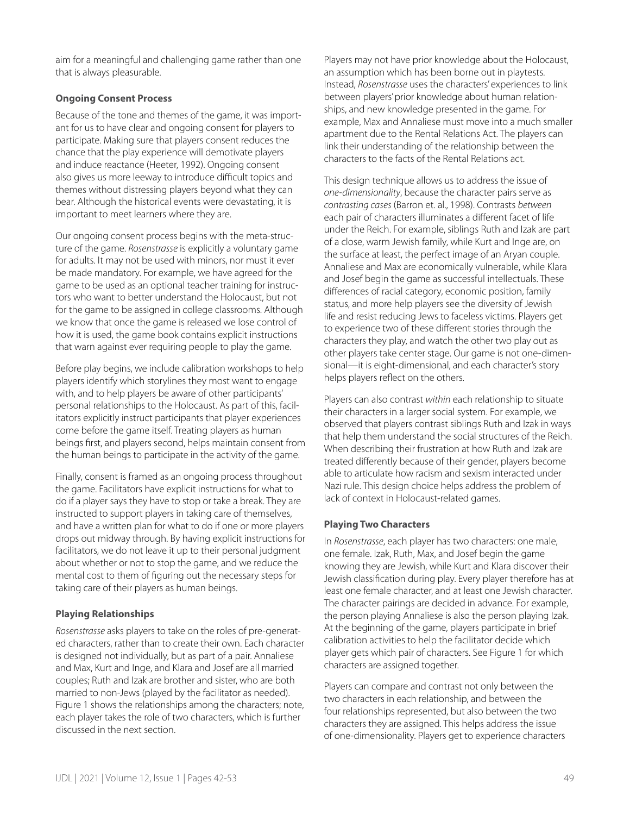aim for a meaningful and challenging game rather than one that is always pleasurable.

## **Ongoing Consent Process**

Because of the tone and themes of the game, it was important for us to have clear and ongoing consent for players to participate. Making sure that players consent reduces the chance that the play experience will demotivate players and induce reactance (Heeter, 1992). Ongoing consent also gives us more leeway to introduce difficult topics and themes without distressing players beyond what they can bear. Although the historical events were devastating, it is important to meet learners where they are.

Our ongoing consent process begins with the meta-structure of the game. *Rosenstrasse* is explicitly a voluntary game for adults. It may not be used with minors, nor must it ever be made mandatory. For example, we have agreed for the game to be used as an optional teacher training for instructors who want to better understand the Holocaust, but not for the game to be assigned in college classrooms. Although we know that once the game is released we lose control of how it is used, the game book contains explicit instructions that warn against ever requiring people to play the game.

Before play begins, we include calibration workshops to help players identify which storylines they most want to engage with, and to help players be aware of other participants' personal relationships to the Holocaust. As part of this, facilitators explicitly instruct participants that player experiences come before the game itself. Treating players as human beings first, and players second, helps maintain consent from the human beings to participate in the activity of the game.

Finally, consent is framed as an ongoing process throughout the game. Facilitators have explicit instructions for what to do if a player says they have to stop or take a break. They are instructed to support players in taking care of themselves, and have a written plan for what to do if one or more players drops out midway through. By having explicit instructions for facilitators, we do not leave it up to their personal judgment about whether or not to stop the game, and we reduce the mental cost to them of figuring out the necessary steps for taking care of their players as human beings.

## **Playing Relationships**

*Rosenstrasse* asks players to take on the roles of pre-generated characters, rather than to create their own. Each character is designed not individually, but as part of a pair. Annaliese and Max, Kurt and Inge, and Klara and Josef are all married couples; Ruth and Izak are brother and sister, who are both married to non-Jews (played by the facilitator as needed). Figure 1 shows the relationships among the characters; note, each player takes the role of two characters, which is further discussed in the next section.

Players may not have prior knowledge about the Holocaust, an assumption which has been borne out in playtests. Instead, *Rosenstrasse* uses the characters' experiences to link between players' prior knowledge about human relationships, and new knowledge presented in the game. For example, Max and Annaliese must move into a much smaller apartment due to the Rental Relations Act. The players can link their understanding of the relationship between the characters to the facts of the Rental Relations act.

This design technique allows us to address the issue of *one-dimensionality*, because the character pairs serve as *contrasting cases* (Barron et. al., 1998). Contrasts *between* each pair of characters illuminates a different facet of life under the Reich. For example, siblings Ruth and Izak are part of a close, warm Jewish family, while Kurt and Inge are, on the surface at least, the perfect image of an Aryan couple. Annaliese and Max are economically vulnerable, while Klara and Josef begin the game as successful intellectuals. These differences of racial category, economic position, family status, and more help players see the diversity of Jewish life and resist reducing Jews to faceless victims. Players get to experience two of these different stories through the characters they play, and watch the other two play out as other players take center stage. Our game is not one-dimensional—it is eight-dimensional, and each character's story helps players reflect on the others.

Players can also contrast *within* each relationship to situate their characters in a larger social system. For example, we observed that players contrast siblings Ruth and Izak in ways that help them understand the social structures of the Reich. When describing their frustration at how Ruth and Izak are treated differently because of their gender, players become able to articulate how racism and sexism interacted under Nazi rule. This design choice helps address the problem of lack of context in Holocaust-related games.

#### **Playing Two Characters**

In *Rosenstrasse*, each player has two characters: one male, one female. Izak, Ruth, Max, and Josef begin the game knowing they are Jewish, while Kurt and Klara discover their Jewish classification during play. Every player therefore has at least one female character, and at least one Jewish character. The character pairings are decided in advance. For example, the person playing Annaliese is also the person playing Izak. At the beginning of the game, players participate in brief calibration activities to help the facilitator decide which player gets which pair of characters. See Figure 1 for which characters are assigned together.

Players can compare and contrast not only between the two characters in each relationship, and between the four relationships represented, but also between the two characters they are assigned. This helps address the issue of one-dimensionality. Players get to experience characters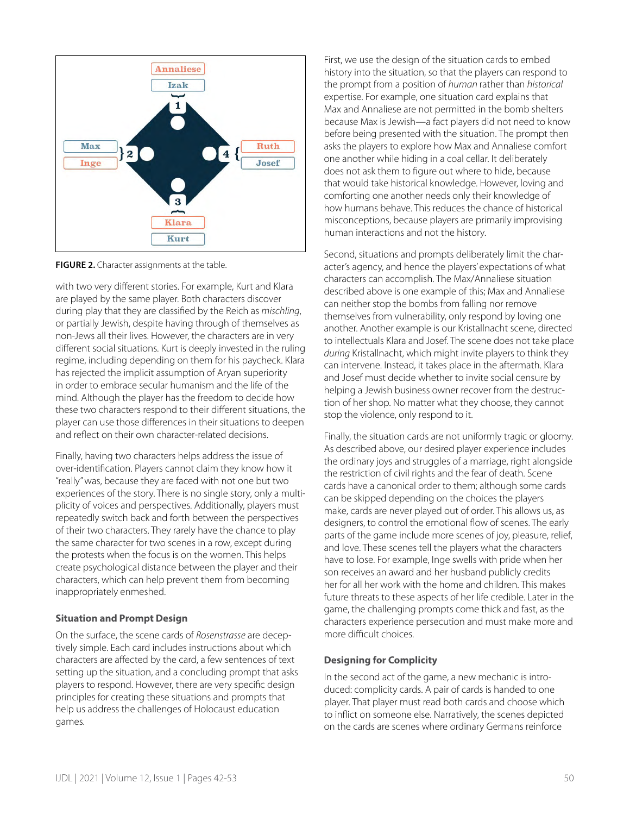

**FIGURE 2.** Character assignments at the table.

with two very different stories. For example, Kurt and Klara are played by the same player. Both characters discover during play that they are classified by the Reich as *mischling*, or partially Jewish, despite having through of themselves as non-Jews all their lives. However, the characters are in very different social situations. Kurt is deeply invested in the ruling regime, including depending on them for his paycheck. Klara has rejected the implicit assumption of Aryan superiority in order to embrace secular humanism and the life of the mind. Although the player has the freedom to decide how these two characters respond to their different situations, the player can use those differences in their situations to deepen and reflect on their own character-related decisions.

Finally, having two characters helps address the issue of over-identification. Players cannot claim they know how it "really" was, because they are faced with not one but two experiences of the story. There is no single story, only a multiplicity of voices and perspectives. Additionally, players must repeatedly switch back and forth between the perspectives of their two characters. They rarely have the chance to play the same character for two scenes in a row, except during the protests when the focus is on the women. This helps create psychological distance between the player and their characters, which can help prevent them from becoming inappropriately enmeshed.

#### **Situation and Prompt Design**

On the surface, the scene cards of *Rosenstrasse* are deceptively simple. Each card includes instructions about which characters are affected by the card, a few sentences of text setting up the situation, and a concluding prompt that asks players to respond. However, there are very specific design principles for creating these situations and prompts that help us address the challenges of Holocaust education games.

First, we use the design of the situation cards to embed history into the situation, so that the players can respond to the prompt from a position of *human* rather than *historical* expertise. For example, one situation card explains that Max and Annaliese are not permitted in the bomb shelters because Max is Jewish—a fact players did not need to know before being presented with the situation. The prompt then asks the players to explore how Max and Annaliese comfort one another while hiding in a coal cellar. It deliberately does not ask them to figure out where to hide, because that would take historical knowledge. However, loving and comforting one another needs only their knowledge of how humans behave. This reduces the chance of historical misconceptions, because players are primarily improvising human interactions and not the history.

Second, situations and prompts deliberately limit the character's agency, and hence the players' expectations of what characters can accomplish. The Max/Annaliese situation described above is one example of this; Max and Annaliese can neither stop the bombs from falling nor remove themselves from vulnerability, only respond by loving one another. Another example is our Kristallnacht scene, directed to intellectuals Klara and Josef. The scene does not take place *during* Kristallnacht, which might invite players to think they can intervene. Instead, it takes place in the aftermath. Klara and Josef must decide whether to invite social censure by helping a Jewish business owner recover from the destruction of her shop. No matter what they choose, they cannot stop the violence, only respond to it.

Finally, the situation cards are not uniformly tragic or gloomy. As described above, our desired player experience includes the ordinary joys and struggles of a marriage, right alongside the restriction of civil rights and the fear of death. Scene cards have a canonical order to them; although some cards can be skipped depending on the choices the players make, cards are never played out of order. This allows us, as designers, to control the emotional flow of scenes. The early parts of the game include more scenes of joy, pleasure, relief, and love. These scenes tell the players what the characters have to lose. For example, Inge swells with pride when her son receives an award and her husband publicly credits her for all her work with the home and children. This makes future threats to these aspects of her life credible. Later in the game, the challenging prompts come thick and fast, as the characters experience persecution and must make more and more difficult choices.

## **Designing for Complicity**

In the second act of the game, a new mechanic is introduced: complicity cards. A pair of cards is handed to one player. That player must read both cards and choose which to inflict on someone else. Narratively, the scenes depicted on the cards are scenes where ordinary Germans reinforce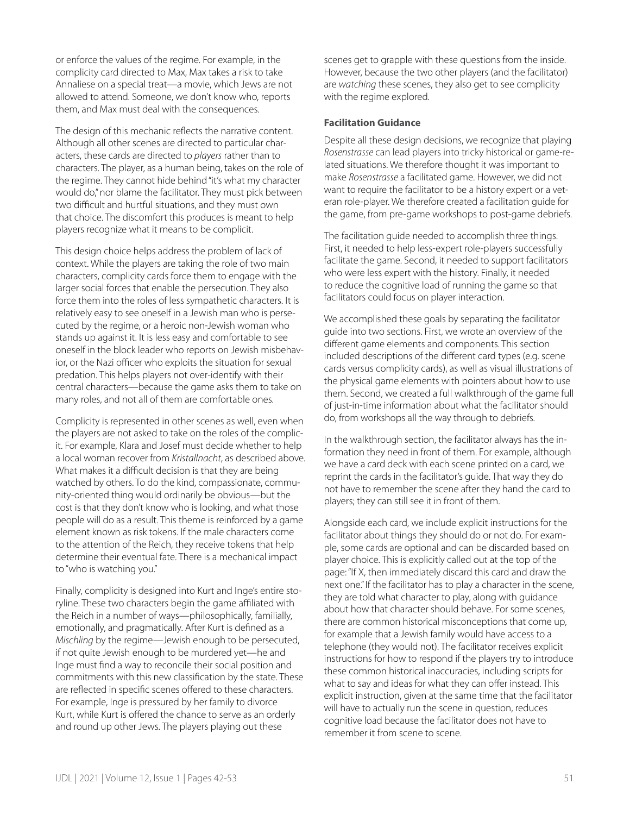or enforce the values of the regime. For example, in the complicity card directed to Max, Max takes a risk to take Annaliese on a special treat—a movie, which Jews are not allowed to attend. Someone, we don't know who, reports them, and Max must deal with the consequences.

The design of this mechanic reflects the narrative content. Although all other scenes are directed to particular characters, these cards are directed to *players* rather than to characters. The player, as a human being, takes on the role of the regime. They cannot hide behind "it's what my character would do," nor blame the facilitator. They must pick between two difficult and hurtful situations, and they must own that choice. The discomfort this produces is meant to help players recognize what it means to be complicit.

This design choice helps address the problem of lack of context. While the players are taking the role of two main characters, complicity cards force them to engage with the larger social forces that enable the persecution. They also force them into the roles of less sympathetic characters. It is relatively easy to see oneself in a Jewish man who is persecuted by the regime, or a heroic non-Jewish woman who stands up against it. It is less easy and comfortable to see oneself in the block leader who reports on Jewish misbehavior, or the Nazi officer who exploits the situation for sexual predation. This helps players not over-identify with their central characters—because the game asks them to take on many roles, and not all of them are comfortable ones.

Complicity is represented in other scenes as well, even when the players are not asked to take on the roles of the complicit. For example, Klara and Josef must decide whether to help a local woman recover from *Kristallnacht*, as described above. What makes it a difficult decision is that they are being watched by others. To do the kind, compassionate, community-oriented thing would ordinarily be obvious—but the cost is that they don't know who is looking, and what those people will do as a result. This theme is reinforced by a game element known as risk tokens. If the male characters come to the attention of the Reich, they receive tokens that help determine their eventual fate. There is a mechanical impact to "who is watching you."

Finally, complicity is designed into Kurt and Inge's entire storyline. These two characters begin the game affiliated with the Reich in a number of ways—philosophically, familially, emotionally, and pragmatically. After Kurt is defined as a *Mischling* by the regime—Jewish enough to be persecuted, if not quite Jewish enough to be murdered yet—he and Inge must find a way to reconcile their social position and commitments with this new classification by the state. These are reflected in specific scenes offered to these characters. For example, Inge is pressured by her family to divorce Kurt, while Kurt is offered the chance to serve as an orderly and round up other Jews. The players playing out these

scenes get to grapple with these questions from the inside. However, because the two other players (and the facilitator) are *watching* these scenes, they also get to see complicity with the regime explored.

#### **Facilitation Guidance**

Despite all these design decisions, we recognize that playing *Rosenstrasse* can lead players into tricky historical or game-related situations. We therefore thought it was important to make *Rosenstrasse* a facilitated game. However, we did not want to require the facilitator to be a history expert or a veteran role-player. We therefore created a facilitation guide for the game, from pre-game workshops to post-game debriefs.

The facilitation guide needed to accomplish three things. First, it needed to help less-expert role-players successfully facilitate the game. Second, it needed to support facilitators who were less expert with the history. Finally, it needed to reduce the cognitive load of running the game so that facilitators could focus on player interaction.

We accomplished these goals by separating the facilitator guide into two sections. First, we wrote an overview of the different game elements and components. This section included descriptions of the different card types (e.g. scene cards versus complicity cards), as well as visual illustrations of the physical game elements with pointers about how to use them. Second, we created a full walkthrough of the game full of just-in-time information about what the facilitator should do, from workshops all the way through to debriefs.

In the walkthrough section, the facilitator always has the information they need in front of them. For example, although we have a card deck with each scene printed on a card, we reprint the cards in the facilitator's guide. That way they do not have to remember the scene after they hand the card to players; they can still see it in front of them.

Alongside each card, we include explicit instructions for the facilitator about things they should do or not do. For example, some cards are optional and can be discarded based on player choice. This is explicitly called out at the top of the page: "If X, then immediately discard this card and draw the next one." If the facilitator has to play a character in the scene, they are told what character to play, along with guidance about how that character should behave. For some scenes, there are common historical misconceptions that come up, for example that a Jewish family would have access to a telephone (they would not). The facilitator receives explicit instructions for how to respond if the players try to introduce these common historical inaccuracies, including scripts for what to say and ideas for what they can offer instead. This explicit instruction, given at the same time that the facilitator will have to actually run the scene in question, reduces cognitive load because the facilitator does not have to remember it from scene to scene.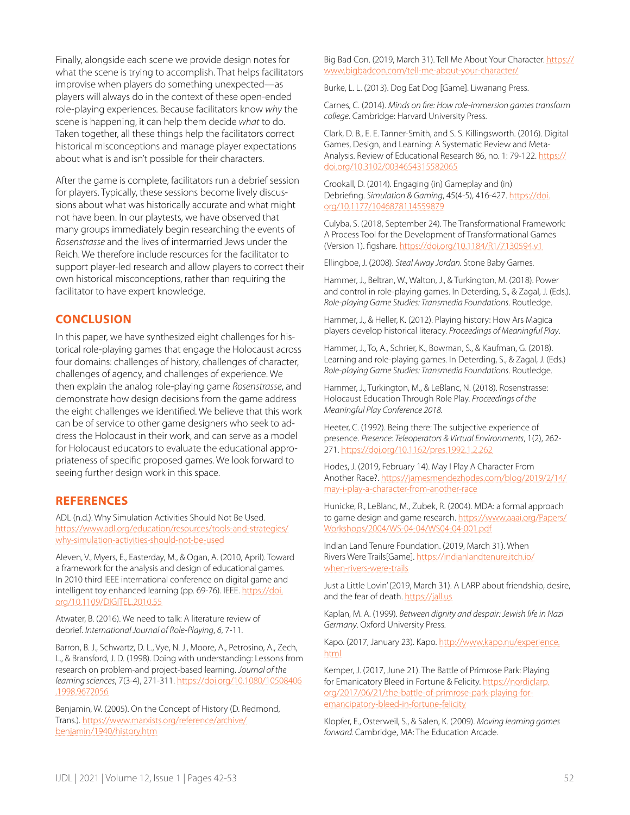Finally, alongside each scene we provide design notes for what the scene is trying to accomplish. That helps facilitators improvise when players do something unexpected—as players will always do in the context of these open-ended role-playing experiences. Because facilitators know *why* the scene is happening, it can help them decide *what* to do. Taken together, all these things help the facilitators correct historical misconceptions and manage player expectations about what is and isn't possible for their characters.

After the game is complete, facilitators run a debrief session for players. Typically, these sessions become lively discussions about what was historically accurate and what might not have been. In our playtests, we have observed that many groups immediately begin researching the events of *Rosenstrasse* and the lives of intermarried Jews under the Reich. We therefore include resources for the facilitator to support player-led research and allow players to correct their own historical misconceptions, rather than requiring the facilitator to have expert knowledge.

# **CONCLUSION**

In this paper, we have synthesized eight challenges for historical role-playing games that engage the Holocaust across four domains: challenges of history, challenges of character, challenges of agency, and challenges of experience. We then explain the analog role-playing game *Rosenstrasse*, and demonstrate how design decisions from the game address the eight challenges we identified. We believe that this work can be of service to other game designers who seek to address the Holocaust in their work, and can serve as a model for Holocaust educators to evaluate the educational appropriateness of specific proposed games. We look forward to seeing further design work in this space.

## **REFERENCES**

ADL (n.d.). Why Simulation Activities Should Not Be Used. [https://www.adl.org/education/resources/tools-and-strategies/](https://www.adl.org/education/resources/tools-and-strategies/why-simulation-activities-should-not-be-used) [why-simulation-activities-should-not-be-used](https://www.adl.org/education/resources/tools-and-strategies/why-simulation-activities-should-not-be-used)

Aleven, V., Myers, E., Easterday, M., & Ogan, A. (2010, April). Toward a framework for the analysis and design of educational games. In 2010 third IEEE international conference on digital game and intelligent toy enhanced learning (pp. 69-76). IEEE. [https://doi.](https://doi.org/10.1109/DIGITEL.2010.55) [org/10.1109/DIGITEL.2010.55](https://doi.org/10.1109/DIGITEL.2010.55)

Atwater, B. (2016). We need to talk: A literature review of debrief. *International Journal of Role-Playing*, *6*, 7-11.

Barron, B. J., Schwartz, D. L., Vye, N. J., Moore, A., Petrosino, A., Zech, L., & Bransford, J. D. (1998). Doing with understanding: Lessons from research on problem-and project-based learning. *Journal of the learning sciences*, 7(3-4), 271-311. [https://doi.org/10.1080/10508406](https://doi.org/10.1080/10508406.1998.9672056%20) [.1998.9672056](https://doi.org/10.1080/10508406.1998.9672056%20)

Benjamin, W. (2005). On the Concept of History (D. Redmond, Trans.). [https://www.marxists.org/reference/archive/](https://www.marxists.org/reference/archive/benjamin/1940/history.htm) [benjamin/1940/history.htm](https://www.marxists.org/reference/archive/benjamin/1940/history.htm)

Big Bad Con. (2019, March 31). Tell Me About Your Character. [https://](https://www.bigbadcon.com/tell-me-about-your-character/) [www.bigbadcon.com/tell-me-about-your-character/](https://www.bigbadcon.com/tell-me-about-your-character/)

Burke, L. L. (2013). Dog Eat Dog [Game]. Liwanang Press.

Carnes, C. (2014). *Minds on fire: How role-immersion games transform college*. Cambridge: Harvard University Press.

Clark, D. B., E. E. Tanner-Smith, and S. S. Killingsworth. (2016). Digital Games, Design, and Learning: A Systematic Review and MetaAnalysis. Review of Educational Research 86, no. 1: 79-122. [https://](https://doi.org/10.3102/0034654315582065) [doi.org/10.3102/0034654315582065](https://doi.org/10.3102/0034654315582065)

Crookall, D. (2014). Engaging (in) Gameplay and (in) Debriefing. *Simulation & Gaming*, 45(4-5), 416-427. [https://doi.](https://doi.org/10.1177/1046878114559879) [org/10.1177/1046878114559879](https://doi.org/10.1177/1046878114559879)

Culyba, S. (2018, September 24). The Transformational Framework: A Process Tool for the Development of Transformational Games (Version 1). figshare.<https://doi.org/10.1184/R1/7130594.v1>

Ellingboe, J. (2008). *Steal Away Jordan.* Stone Baby Games.

Hammer, J., Beltran, W., Walton, J., & Turkington, M. (2018). Power and control in role-playing games. In Deterding, S., & Zagal, J. (Eds.). *Role-playing Game Studies: Transmedia Foundations*. Routledge.

Hammer, J., & Heller, K. (2012). Playing history: How Ars Magica players develop historical literacy. *Proceedings of Meaningful Play*.

Hammer, J., To, A., Schrier, K., Bowman, S., & Kaufman, G. (2018). Learning and role-playing games. In Deterding, S., & Zagal, J. (Eds.) *Role-playing Game Studies: Transmedia Foundations*. Routledge.

Hammer, J., Turkington, M., & LeBlanc, N. (2018). Rosenstrasse: Holocaust Education Through Role Play. *Proceedings of the Meaningful Play Conference 2018.*

Heeter, C. (1992). Being there: The subjective experience of presence. *Presence: Teleoperators & Virtual Environments*, 1(2), 262- 271. <https://doi.org/10.1162/pres.1992.1.2.262>

Hodes, J. (2019, February 14). May I Play A Character From Another Race?. [https://jamesmendezhodes.com/blog/2019/2/14/](https://jamesmendezhodes.com/blog/2019/2/14/may-i-play-a-character-from-another-race) [may-i-play-a-character-from-another-race](https://jamesmendezhodes.com/blog/2019/2/14/may-i-play-a-character-from-another-race)

Hunicke, R., LeBlanc, M., Zubek, R. (2004). MDA: a formal approach to game design and game research. [https://www.aaai.org/Papers/](https://www.aaai.org/Papers/Workshops/2004/WS-04-04/WS04-04-001.pdf) [Workshops/2004/WS-04-04/WS04-04-001.pdf](https://www.aaai.org/Papers/Workshops/2004/WS-04-04/WS04-04-001.pdf)

Indian Land Tenure Foundation. (2019, March 31). When Rivers Were Trails[Game]. [https://indianlandtenure.itch.io/](https://indianlandtenure.itch.io/when-rivers-were-trails) [when-rivers-were-trails](https://indianlandtenure.itch.io/when-rivers-were-trails)

Just a Little Lovin' (2019, March 31). A LARP about friendship, desire, and the fear of death. [https://jall.us](https://jall.us/)

Kaplan, M. A. (1999). *Between dignity and despair: Jewish life in Nazi Germany*. Oxford University Press.

Kapo. (2017, January 23). Kapo. [http://www.kapo.nu/experience.](http://www.kapo.nu/experience.html) [html](http://www.kapo.nu/experience.html)

Kemper, J. (2017, June 21). The Battle of Primrose Park: Playing for Emanicatory Bleed in Fortune & Felicity. [https://nordiclarp.](https://nordiclarp.org/2017/06/21/the-battle-of-primrose-park-playing-for-emancipatory-bleed-in-fortune-felicity/) [org/2017/06/21/the-battle-of-primrose-park-playing-for](https://nordiclarp.org/2017/06/21/the-battle-of-primrose-park-playing-for-emancipatory-bleed-in-fortune-felicity/)[emancipatory-bleed-in-fortune-felicity](https://nordiclarp.org/2017/06/21/the-battle-of-primrose-park-playing-for-emancipatory-bleed-in-fortune-felicity/)

Klopfer, E., Osterweil, S., & Salen, K. (2009). *Moving learning games forward.* Cambridge, MA: The Education Arcade.